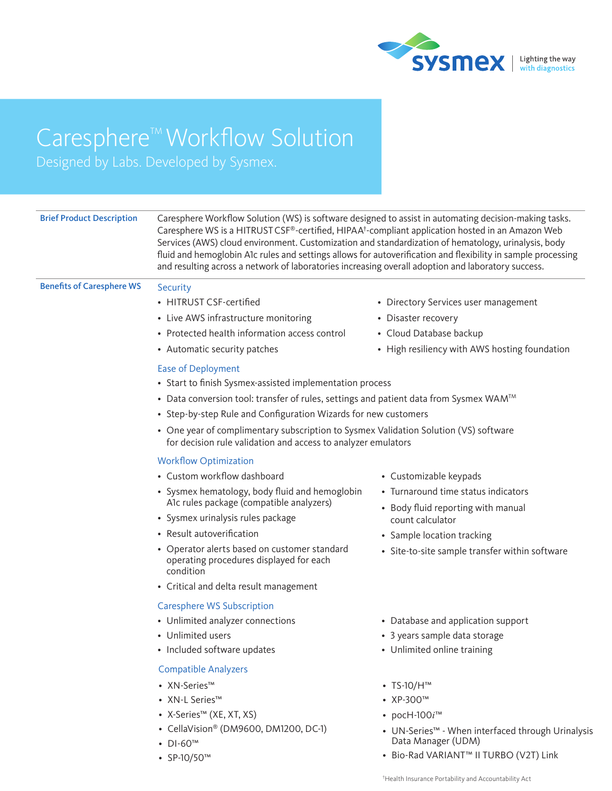

# Caresphere<sup>™</sup> Workflow Solution

Designed by Labs. Developed by Sysmex.

| <b>Brief Product Description</b> | Caresphere WS is a HITRUST CSF®-certified, HIPAA <sup>t</sup> -compliant application hosted in an Amazon Web<br>Services (AWS) cloud environment. Customization and standardization of hematology, urinalysis, body<br>and resulting across a network of laboratories increasing overall adoption and laboratory success. | Caresphere Workflow Solution (WS) is software designed to assist in automating decision-making tasks.<br>fluid and hemoglobin A1c rules and settings allows for autoverification and flexibility in sample processing |  |
|----------------------------------|---------------------------------------------------------------------------------------------------------------------------------------------------------------------------------------------------------------------------------------------------------------------------------------------------------------------------|-----------------------------------------------------------------------------------------------------------------------------------------------------------------------------------------------------------------------|--|
| <b>Benefits of Caresphere WS</b> | Security                                                                                                                                                                                                                                                                                                                  |                                                                                                                                                                                                                       |  |
|                                  | • HITRUST CSF-certified                                                                                                                                                                                                                                                                                                   | • Directory Services user management                                                                                                                                                                                  |  |
|                                  | • Live AWS infrastructure monitoring                                                                                                                                                                                                                                                                                      | • Disaster recovery                                                                                                                                                                                                   |  |
|                                  | • Protected health information access control                                                                                                                                                                                                                                                                             | • Cloud Database backup                                                                                                                                                                                               |  |
|                                  | • Automatic security patches                                                                                                                                                                                                                                                                                              | • High resiliency with AWS hosting foundation                                                                                                                                                                         |  |
|                                  | Ease of Deployment                                                                                                                                                                                                                                                                                                        |                                                                                                                                                                                                                       |  |
|                                  | • Start to finish Sysmex-assisted implementation process                                                                                                                                                                                                                                                                  |                                                                                                                                                                                                                       |  |
|                                  | • Data conversion tool: transfer of rules, settings and patient data from Sysmex WAM <sup>TM</sup>                                                                                                                                                                                                                        |                                                                                                                                                                                                                       |  |
|                                  | • Step-by-step Rule and Configuration Wizards for new customers                                                                                                                                                                                                                                                           |                                                                                                                                                                                                                       |  |
|                                  | • One year of complimentary subscription to Sysmex Validation Solution (VS) software<br>for decision rule validation and access to analyzer emulators                                                                                                                                                                     |                                                                                                                                                                                                                       |  |
|                                  | <b>Workflow Optimization</b>                                                                                                                                                                                                                                                                                              |                                                                                                                                                                                                                       |  |
|                                  | • Custom workflow dashboard                                                                                                                                                                                                                                                                                               | • Customizable keypads                                                                                                                                                                                                |  |
|                                  | • Sysmex hematology, body fluid and hemoglobin<br>A1c rules package (compatible analyzers)                                                                                                                                                                                                                                | • Turnaround time status indicators                                                                                                                                                                                   |  |
|                                  |                                                                                                                                                                                                                                                                                                                           | • Body fluid reporting with manual                                                                                                                                                                                    |  |
|                                  | • Sysmex urinalysis rules package                                                                                                                                                                                                                                                                                         | count calculator                                                                                                                                                                                                      |  |
|                                  | • Result autoverification                                                                                                                                                                                                                                                                                                 | • Sample location tracking                                                                                                                                                                                            |  |
|                                  | • Operator alerts based on customer standard<br>operating procedures displayed for each<br>condition                                                                                                                                                                                                                      | • Site-to-site sample transfer within software                                                                                                                                                                        |  |
|                                  | • Critical and delta result management                                                                                                                                                                                                                                                                                    |                                                                                                                                                                                                                       |  |
|                                  | <b>Caresphere WS Subscription</b>                                                                                                                                                                                                                                                                                         |                                                                                                                                                                                                                       |  |
|                                  | • Unlimited analyzer connections                                                                                                                                                                                                                                                                                          | • Database and application support                                                                                                                                                                                    |  |
|                                  | • Unlimited users                                                                                                                                                                                                                                                                                                         | • 3 years sample data storage                                                                                                                                                                                         |  |
|                                  | • Included software updates                                                                                                                                                                                                                                                                                               | • Unlimited online training                                                                                                                                                                                           |  |
|                                  | <b>Compatible Analyzers</b>                                                                                                                                                                                                                                                                                               |                                                                                                                                                                                                                       |  |
|                                  | • XN-Series™                                                                                                                                                                                                                                                                                                              | $\cdot$ TS-10/H <sup>TM</sup>                                                                                                                                                                                         |  |
|                                  | • XN-L Series™                                                                                                                                                                                                                                                                                                            | • XP-300TM                                                                                                                                                                                                            |  |
|                                  | • X-Series™ (XE, XT, XS)                                                                                                                                                                                                                                                                                                  | • pocH-100 $i^{\text{TM}}$                                                                                                                                                                                            |  |
|                                  | • CellaVision® (DM9600, DM1200, DC-1)<br>$\cdot$ DI-60 <sup>TM</sup>                                                                                                                                                                                                                                                      | • UN-Series <sup>™</sup> - When interfaced through Urinalysis<br>Data Manager (UDM)                                                                                                                                   |  |
|                                  | • $SP-10/50^{m}$                                                                                                                                                                                                                                                                                                          | • Bio-Rad VARIANT™ II TURBO (V2T) Link                                                                                                                                                                                |  |